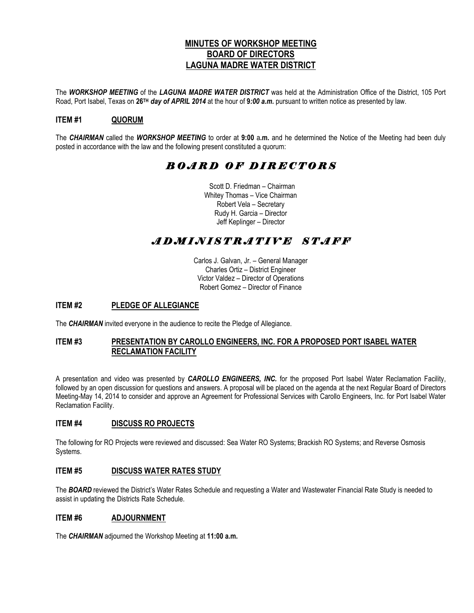### **MINUTES OF WORKSHOP MEETING BOARD OF DIRECTORS LAGUNA MADRE WATER DISTRICT**

The *WORKSHOP MEETING* of the *LAGUNA MADRE WATER DISTRICT* was held at the Administration Office of the District, 105 Port Road, Port Isabel, Texas on **26TH** *day of APRIL 2014* at the hour of **9***:00 a.m.* pursuant to written notice as presented by law.

## **ITEM #1 QUORUM**

The *CHAIRMAN* called the *WORKSHOP MEETING* to order at **9:00** a**.m.** and he determined the Notice of the Meeting had been duly posted in accordance with the law and the following present constituted a quorum:

## *B O A R D O F D I R E C T O R S*

 Scott D. Friedman – Chairman Whitey Thomas – Vice Chairman Robert Vela – Secretary Rudy H. Garcia – Director Jeff Keplinger – Director

# *A D M I N I S T R A T I V E S T A F F*

Carlos J. Galvan, Jr. – General Manager Charles Ortiz – District Engineer Victor Valdez – Director of Operations Robert Gomez – Director of Finance

### **ITEM #2 PLEDGE OF ALLEGIANCE**

The *CHAIRMAN* invited everyone in the audience to recite the Pledge of Allegiance.

#### **ITEM #3 PRESENTATION BY CAROLLO ENGINEERS, INC. FOR A PROPOSED PORT ISABEL WATER RECLAMATION FACILITY**

A presentation and video was presented by *CAROLLO ENGINEERS, INC.* for the proposed Port Isabel Water Reclamation Facility, followed by an open discussion for questions and answers. A proposal will be placed on the agenda at the next Regular Board of Directors Meeting-May 14, 2014 to consider and approve an Agreement for Professional Services with Carollo Engineers, Inc. for Port Isabel Water Reclamation Facility.

#### **ITEM #4 DISCUSS RO PROJECTS**

The following for RO Projects were reviewed and discussed: Sea Water RO Systems; Brackish RO Systems; and Reverse Osmosis Systems.

#### **ITEM #5 DISCUSS WATER RATES STUDY**

The *BOARD* reviewed the District's Water Rates Schedule and requesting a Water and Wastewater Financial Rate Study is needed to assist in updating the Districts Rate Schedule.

#### **ITEM #6 ADJOURNMENT**

The *CHAIRMAN* adjourned the Workshop Meeting at **11:00 a.m.**